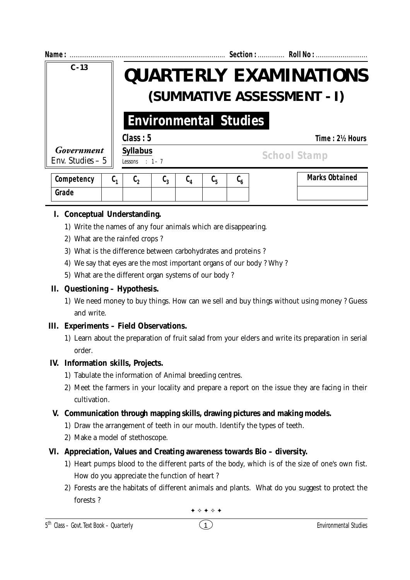| Name:                           |                                                                                                                           | Section:  Roll No :                                            |
|---------------------------------|---------------------------------------------------------------------------------------------------------------------------|----------------------------------------------------------------|
| $C - 13$                        |                                                                                                                           | <b>QUARTERLY EXAMINATIONS</b>                                  |
|                                 | (SUMMATIVE ASSESSMENT - I)<br><b>Environmental Studies</b>                                                                |                                                                |
|                                 |                                                                                                                           |                                                                |
| Government<br>Env. Studies $-5$ | <b>Syllabus</b><br>Lessons : $1 - 7$                                                                                      | <b>School Stamp</b>                                            |
| Competency                      | $\mathfrak{c}_3$<br>$\mathfrak{c}_{\scriptscriptstyle 4}$<br>$\mathfrak{c}_\mathfrak{z}$<br>$c_{\rm s}$<br>ს <sub>1</sub> | <b>Marks Obtained</b><br>$\mathfrak{c}_{\scriptscriptstyle 6}$ |

# **I. Conceptual Understanding.**

**Grade**

- 1) Write the names of any four animals which are disappearing.
- 2) What are the rainfed crops ?
- 3) What is the difference between carbohydrates and proteins ?
- 4) We say that eyes are the most important organs of our body ? Why ?
- 5) What are the different organ systems of our body ?

## **II. Questioning – Hypothesis.**

1) We need money to buy things. How can we sell and buy things without using money ? Guess and write.

# **III. Experiments – Field Observations.**

1) Learn about the preparation of fruit salad from your elders and write its preparation in serial order.

# **IV. Information skills, Projects.**

- 1) Tabulate the information of Animal breeding centres.
- 2) Meet the farmers in your locality and prepare a report on the issue they are facing in their cultivation.

# **V. Communication through mapping skills, drawing pictures and making models.**

- 1) Draw the arrangement of teeth in our mouth. Identify the types of teeth.
- 2) Make a model of stethoscope.

# **VI. Appreciation, Values and Creating awareness towards Bio – diversity.**

- 1) Heart pumps blood to the different parts of the body, which is of the size of one's own fist. How do you appreciate the function of heart ?
- 2) Forests are the habitats of different animals and plants. What do you suggest to protect the forests ?